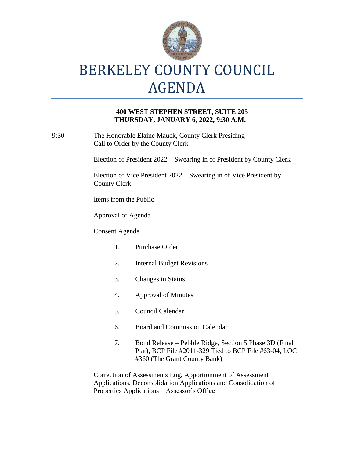

## **400 WEST STEPHEN STREET, SUITE 205 THURSDAY, JANUARY 6, 2022, 9:30 A.M.**

9:30 The Honorable Elaine Mauck, County Clerk Presiding Call to Order by the County Clerk

Election of President 2022 – Swearing in of President by County Clerk

Election of Vice President 2022 – Swearing in of Vice President by County Clerk

Items from the Public

Approval of Agenda

Consent Agenda

- 1. Purchase Order
- 2. Internal Budget Revisions
- 3. Changes in Status
- 4. Approval of Minutes
- 5. Council Calendar
- 6. Board and Commission Calendar
- 7. Bond Release Pebble Ridge, Section 5 Phase 3D (Final Plat), BCP File #2011-329 Tied to BCP File #63-04, LOC #360 (The Grant County Bank)

Correction of Assessments Log, Apportionment of Assessment Applications, Deconsolidation Applications and Consolidation of Properties Applications – Assessor's Office